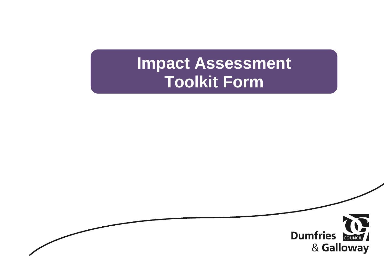# **Impact Assessment Toolkit Form**

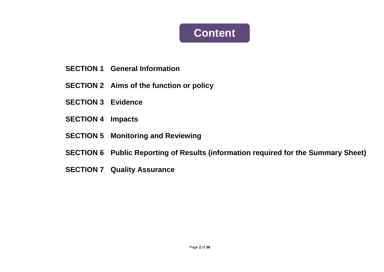## **Content**

- **SECTION 1 General Information**
- **SECTION 2 Aims of the function or policy**
- **SECTION 3 Evidence**
- **SECTION 4 Impacts**
- **SECTION 5 Monitoring and Reviewing**
- **SECTION 6 Public Reporting of Results (information required for the Summary Sheet)**
- **SECTION 7 Quality Assurance**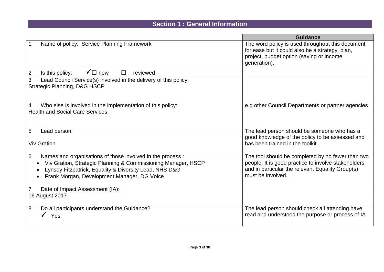## **Section 1 : General Information**

|                                                                                                                                                                                                                                           | <b>Guidance</b>                                                                                                                                                                   |
|-------------------------------------------------------------------------------------------------------------------------------------------------------------------------------------------------------------------------------------------|-----------------------------------------------------------------------------------------------------------------------------------------------------------------------------------|
| Name of policy: Service Planning Framework<br>$\overline{1}$                                                                                                                                                                              | The word policy is used throughout this document<br>for ease but it could also be a strategy, plan,<br>project, budget option (saving or income<br>generation).                   |
| $\overline{2}$<br>$\checkmark$ mew<br>Is this policy:<br>reviewed                                                                                                                                                                         |                                                                                                                                                                                   |
| 3<br>Lead Council Service(s) involved in the delivery of this policy:<br><b>Strategic Planning, D&amp;G HSCP</b>                                                                                                                          |                                                                                                                                                                                   |
| Who else is involved in the implementation of this policy:<br>$\overline{4}$<br><b>Health and Social Care Services</b>                                                                                                                    | e.g. other Council Departments or partner agencies                                                                                                                                |
| $5\phantom{1}$<br>Lead person:<br><b>Viv Gration</b>                                                                                                                                                                                      | The lead person should be someone who has a<br>good knowledge of the policy to be assessed and<br>has been trained in the toolkit.                                                |
| 6<br>Names and organisations of those involved in the process :<br>Viv Gration, Strategic Planning & Commissioning Manager, HSCP<br>Lynsey Fitzpatrick, Equality & Diversity Lead, NHS D&G<br>Frank Morgan, Development Manager, DG Voice | The tool should be completed by no fewer than two<br>people. It is good practice to involve stakeholders<br>and in particular the relevant Equality Group(s)<br>must be involved. |
| Date of Impact Assessment (IA):<br>$\overline{7}$<br>16 August 2017                                                                                                                                                                       |                                                                                                                                                                                   |
| 8<br>Do all participants understand the Guidance?<br>Yes                                                                                                                                                                                  | The lead person should check all attending have<br>read and understood the purpose or process of IA                                                                               |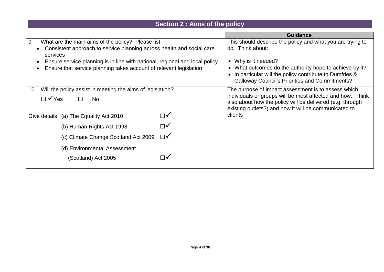## **Section 2 : Aims of the policy**

|                                                                                   |                                                                                                                                                                              | <b>Guidance</b>                                                                                                    |
|-----------------------------------------------------------------------------------|------------------------------------------------------------------------------------------------------------------------------------------------------------------------------|--------------------------------------------------------------------------------------------------------------------|
| 9<br>What are the main aims of the policy? Please list                            | This should describe the policy and what you are trying to                                                                                                                   |                                                                                                                    |
| Consistent approach to service planning across health and social care<br>services | do. Think about:                                                                                                                                                             |                                                                                                                    |
| Ensure service planning is in line with national, regional and local policy       |                                                                                                                                                                              | • Why is it needed?                                                                                                |
| Ensure that service planning takes account of relevant legislation                | • What outcomes do the authority hope to achieve by it?<br>• In particular will the policy contribute to Dumfries &<br><b>Galloway Council's Priorities and Commitments?</b> |                                                                                                                    |
| Will the policy assist in meeting the aims of legislation?<br>10                  |                                                                                                                                                                              | The purpose of impact assessment is to assess which                                                                |
|                                                                                   |                                                                                                                                                                              | individuals or groups will be most affected and how. Think                                                         |
| $\Box$ $\checkmark$ Yes<br><b>No</b>                                              |                                                                                                                                                                              | also about how the policy will be delivered (e.g. through<br>existing outlets?) and how it will be communicated to |
| Give details (a) The Equality Act 2010                                            | $\Box\checkmark$                                                                                                                                                             | clients                                                                                                            |
| (b) Human Rights Act 1998                                                         | ∏✔                                                                                                                                                                           |                                                                                                                    |
| $\Box\checkmark$<br>(c) Climate Change Scotland Act 2009                          |                                                                                                                                                                              |                                                                                                                    |
| (d) Environmental Assessment                                                      |                                                                                                                                                                              |                                                                                                                    |
| (Scotland) Act 2005                                                               |                                                                                                                                                                              |                                                                                                                    |
|                                                                                   |                                                                                                                                                                              |                                                                                                                    |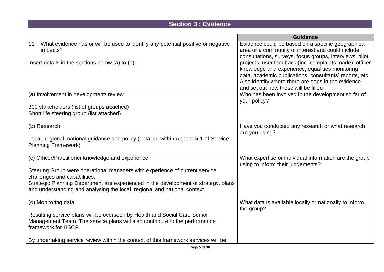### **Section 3 : Evidence**

|                                                                                                                                                                                | <b>Guidance</b>                                                                                                                                                                                                               |
|--------------------------------------------------------------------------------------------------------------------------------------------------------------------------------|-------------------------------------------------------------------------------------------------------------------------------------------------------------------------------------------------------------------------------|
| What evidence has or will be used to identify any potential positive or negative<br>11<br>impacts?<br>Insert details in the sections below (a) to (e):                         | Evidence could be based on a specific geographical<br>area or a community of interest and could include<br>consultations, surveys, focus groups, interviews, pilot<br>projects, user feedback (inc. complaints made), officer |
|                                                                                                                                                                                | knowledge and experience, equalities monitoring<br>data, academic publications, consultants' reports, etc.<br>Also identify where there are gaps in the evidence<br>and set out how these will be filled                      |
| (a) Involvement in development/ review                                                                                                                                         | Who has been involved in the development so far of<br>your policy?                                                                                                                                                            |
| 300 stakeholders (list of groups attached)<br>Short life steering group (list attached)                                                                                        |                                                                                                                                                                                                                               |
| (b) Research                                                                                                                                                                   | Have you conducted any research or what research<br>are you using?                                                                                                                                                            |
| Local, regional, national guidance and policy (detailed within Appendix 1 of Service<br><b>Planning Framework)</b>                                                             |                                                                                                                                                                                                                               |
| (c) Officer/Practitioner knowledge and experience                                                                                                                              | What expertise or individual information are the group<br>using to inform their judgements?                                                                                                                                   |
| Steering Group were operational managers with experience of current service<br>challenges and capabilities.                                                                    |                                                                                                                                                                                                                               |
| Strategic Planning Department are experienced in the development of strategy, plans<br>and understanding and analysing the local, regional and national context.               |                                                                                                                                                                                                                               |
| (d) Monitoring data                                                                                                                                                            | What data is available locally or nationally to inform<br>the group?                                                                                                                                                          |
| Resulting service plans will be overseen by Health and Social Care Senior<br>Management Team. The service plans will also contribute to the performance<br>framework for HSCP. |                                                                                                                                                                                                                               |
| By undertaking service review within the context of this framework services will be                                                                                            |                                                                                                                                                                                                                               |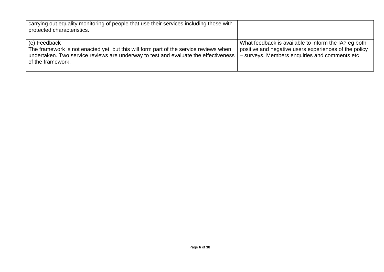| carrying out equality monitoring of people that use their services including those with<br>protected characteristics.                                                                                             |                                                                                                                                                                |
|-------------------------------------------------------------------------------------------------------------------------------------------------------------------------------------------------------------------|----------------------------------------------------------------------------------------------------------------------------------------------------------------|
| (e) Feedback<br>The framework is not enacted yet, but this will form part of the service reviews when<br>undertaken. Two service reviews are underway to test and evaluate the effectiveness<br>of the framework. | What feedback is available to inform the IA? eg both<br>positive and negative users experiences of the policy<br>- surveys, Members enquiries and comments etc |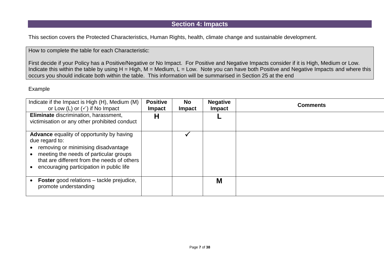#### **Section 4: Impacts**

This section covers the Protected Characteristics, Human Rights, health, climate change and sustainable development.

How to complete the table for each Characteristic:

First decide if your Policy has a Positive/Negative or No Impact. For Positive and Negative Impacts consider if it is High, Medium or Low. Indicate this within the table by using  $H = High$ ,  $M = Medium$ ,  $L = Low$ . Note you can have both Positive and Negative Impacts and where this occurs you should indicate both within the table. This information will be summarised in Section 25 at the end

#### Example

| Indicate if the Impact is High (H), Medium (M)<br>or Low (L) or $(\checkmark)$ if No Impact                                                                                                                                                    | <b>Positive</b><br><b>Impact</b> | <b>No</b><br><b>Impact</b> | <b>Negative</b><br><b>Impact</b> | <b>Comments</b> |
|------------------------------------------------------------------------------------------------------------------------------------------------------------------------------------------------------------------------------------------------|----------------------------------|----------------------------|----------------------------------|-----------------|
| Eliminate discrimination, harassment,<br>victimisation or any other prohibited conduct                                                                                                                                                         | Н                                |                            |                                  |                 |
| <b>Advance</b> equality of opportunity by having<br>due regard to:<br>removing or minimising disadvantage<br>meeting the needs of particular groups<br>that are different from the needs of others<br>encouraging participation in public life |                                  |                            |                                  |                 |
| <b>Foster</b> good relations – tackle prejudice,<br>promote understanding                                                                                                                                                                      |                                  |                            | M                                |                 |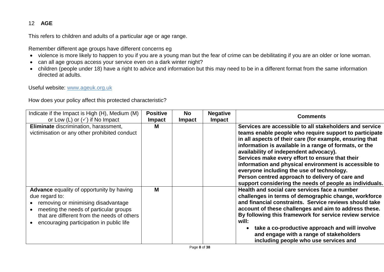#### 12 **AGE**

This refers to children and adults of a particular age or age range.

Remember different age groups have different concerns eg

- violence is more likely to happen to you if you are a young man but the fear of crime can be debilitating if you are an older or lone woman.
- can all age groups access your service even on a dark winter night?
- children (people under 18) have a right to advice and information but this may need to be in a different format from the same information directed at adults.

Useful website: [www.ageuk.org.uk](http://www.ageuk.org.uk/) 

| Indicate if the Impact is High (H), Medium (M)<br>or Low (L) or $(\checkmark)$ if No Impact                                                                                                                                                    | <b>Positive</b><br><b>Impact</b> | <b>No</b><br><b>Impact</b> | <b>Negative</b><br><b>Impact</b> | <b>Comments</b>                                                                                                                                                                                                                                                                                                                                                                                                                                                                                                                                          |
|------------------------------------------------------------------------------------------------------------------------------------------------------------------------------------------------------------------------------------------------|----------------------------------|----------------------------|----------------------------------|----------------------------------------------------------------------------------------------------------------------------------------------------------------------------------------------------------------------------------------------------------------------------------------------------------------------------------------------------------------------------------------------------------------------------------------------------------------------------------------------------------------------------------------------------------|
| Eliminate discrimination, harassment,<br>victimisation or any other prohibited conduct                                                                                                                                                         | м                                |                            |                                  | Services are accessible to all stakeholders and service<br>teams enable people who require support to participate<br>in all aspects of their care (for example, ensuring that<br>information is available in a range of formats, or the<br>availability of independent advocacy).<br>Services make every effort to ensure that their<br>information and physical environment is accessible to<br>everyone including the use of technology.<br>Person centred approach to delivery of care and<br>support considering the needs of people as individuals. |
| <b>Advance</b> equality of opportunity by having<br>due regard to:<br>removing or minimising disadvantage<br>meeting the needs of particular groups<br>that are different from the needs of others<br>encouraging participation in public life | M                                |                            |                                  | Health and social care services face a number<br>challenges in terms of demographic change, workforce<br>and financial constraints. Service reviews should take<br>account of these challenges and aim to address these.<br>By following this framework for service review service<br>will:<br>take a co-productive approach and will involve<br>and engage with a range of stakeholders<br>including people who use services and                                                                                                                        |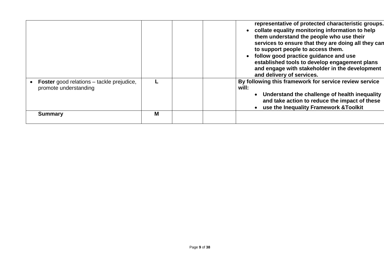|                                                                           |   | representative of protected characteristic groups.<br>collate equality monitoring information to help<br>them understand the people who use their<br>services to ensure that they are doing all they can<br>to support people to access them.<br>follow good practice guidance and use<br>established tools to develop engagement plans<br>and engage with stakeholder in the development<br>and delivery of services. |
|---------------------------------------------------------------------------|---|------------------------------------------------------------------------------------------------------------------------------------------------------------------------------------------------------------------------------------------------------------------------------------------------------------------------------------------------------------------------------------------------------------------------|
| <b>Foster</b> good relations – tackle prejudice,<br>promote understanding |   | By following this framework for service review service<br>will:<br>• Understand the challenge of health inequality<br>and take action to reduce the impact of these<br>use the Inequality Framework & Toolkit                                                                                                                                                                                                          |
| <b>Summary</b>                                                            | М |                                                                                                                                                                                                                                                                                                                                                                                                                        |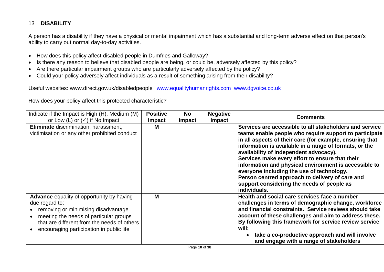#### 13 **DISABILITY**

A person has a disability if they have a physical or mental impairment which has a substantial and long-term adverse effect on that person's ability to carry out normal day-to-day activities.

- How does this policy affect disabled people in Dumfries and Galloway?
- Is there any reason to believe that disabled people are being, or could be, adversely affected by this policy?
- Are there particular impairment groups who are particularly adversely affected by the policy?
- Could your policy adversely affect individuals as a result of something arising from their disability?

Useful websites: [www.direct.gov.uk/disabledpeople](http://www.direct.gov.uk/disabledpeople) [www.equalityhumanrights.com](http://www.equalityhumanrights.com/) [www.dgvoice.co.uk](http://www.dgvoice.co.uk/)

| Indicate if the Impact is High (H), Medium (M)<br>or Low (L) or $(\checkmark)$ if No Impact                                                                                                                                                    | <b>Positive</b><br><b>Impact</b> | <b>No</b><br><b>Impact</b> | <b>Negative</b><br><b>Impact</b> | <b>Comments</b>                                                                                                                                                                                                                                                                                                                                                                                                                                                                                                                                             |
|------------------------------------------------------------------------------------------------------------------------------------------------------------------------------------------------------------------------------------------------|----------------------------------|----------------------------|----------------------------------|-------------------------------------------------------------------------------------------------------------------------------------------------------------------------------------------------------------------------------------------------------------------------------------------------------------------------------------------------------------------------------------------------------------------------------------------------------------------------------------------------------------------------------------------------------------|
| Eliminate discrimination, harassment,<br>victimisation or any other prohibited conduct                                                                                                                                                         | M                                |                            |                                  | Services are accessible to all stakeholders and service<br>teams enable people who require support to participate<br>in all aspects of their care (for example, ensuring that<br>information is available in a range of formats, or the<br>availability of independent advocacy).<br>Services make every effort to ensure that their<br>information and physical environment is accessible to<br>everyone including the use of technology.<br>Person centred approach to delivery of care and<br>support considering the needs of people as<br>individuals. |
| <b>Advance</b> equality of opportunity by having<br>due regard to:<br>removing or minimising disadvantage<br>meeting the needs of particular groups<br>that are different from the needs of others<br>encouraging participation in public life | M                                |                            |                                  | Health and social care services face a number<br>challenges in terms of demographic change, workforce<br>and financial constraints. Service reviews should take<br>account of these challenges and aim to address these.<br>By following this framework for service review service<br>will:<br>take a co-productive approach and will involve<br>and engage with a range of stakeholders                                                                                                                                                                    |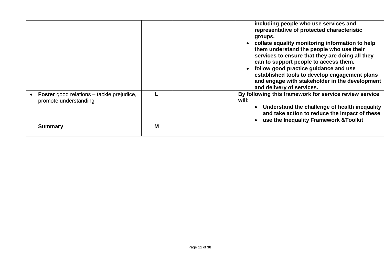|                                                                           |   | including people who use services and<br>representative of protected characteristic<br>groups.<br>collate equality monitoring information to help<br>them understand the people who use their<br>services to ensure that they are doing all they<br>can to support people to access them.<br>follow good practice guidance and use<br>established tools to develop engagement plans<br>and engage with stakeholder in the development<br>and delivery of services. |
|---------------------------------------------------------------------------|---|--------------------------------------------------------------------------------------------------------------------------------------------------------------------------------------------------------------------------------------------------------------------------------------------------------------------------------------------------------------------------------------------------------------------------------------------------------------------|
| <b>Foster</b> good relations – tackle prejudice,<br>promote understanding |   | By following this framework for service review service<br>will:<br>Understand the challenge of health inequality<br>and take action to reduce the impact of these<br>use the Inequality Framework & Toolkit                                                                                                                                                                                                                                                        |
| <b>Summary</b>                                                            | M |                                                                                                                                                                                                                                                                                                                                                                                                                                                                    |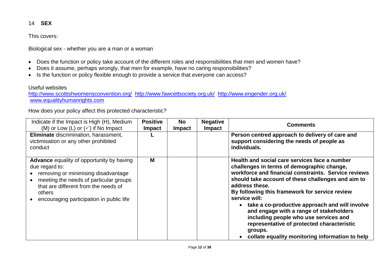#### 14 **SEX**

This covers:

Biological sex - whether you are a man or a woman

- Does the function or policy take account of the different roles and responsibilities that men and women have?
- Does it assume, perhaps wrongly, that men for example, have no caring responsibilities?
- Is the function or policy flexible enough to provide a service that everyone can access?

#### Useful websites

<http://www.scottishwomensconvention.org/><http://www.fawcettsociety.org.uk/><http://www.engender.org.uk/> [www.equalityhumanrights.com](http://www.equalityhumanrights.com/)

| Indicate if the Impact is High (H), Medium<br>(M) or Low (L) or $(\checkmark)$ if No Impact                                                                                                                                                       | <b>Positive</b><br><b>Impact</b> | <b>No</b><br><b>Impact</b> | <b>Negative</b><br><b>Impact</b> | <b>Comments</b>                                                                                                                                                                                                                                                                                                                                                                                                                                                                                                                                    |
|---------------------------------------------------------------------------------------------------------------------------------------------------------------------------------------------------------------------------------------------------|----------------------------------|----------------------------|----------------------------------|----------------------------------------------------------------------------------------------------------------------------------------------------------------------------------------------------------------------------------------------------------------------------------------------------------------------------------------------------------------------------------------------------------------------------------------------------------------------------------------------------------------------------------------------------|
| Eliminate discrimination, harassment,<br>victimisation or any other prohibited<br>conduct                                                                                                                                                         |                                  |                            |                                  | Person centred approach to delivery of care and<br>support considering the needs of people as<br>individuals.                                                                                                                                                                                                                                                                                                                                                                                                                                      |
| <b>Advance</b> equality of opportunity by having<br>due regard to:<br>removing or minimising disadvantage<br>meeting the needs of particular groups<br>that are different from the needs of<br>others<br>encouraging participation in public life | M                                |                            |                                  | Health and social care services face a number<br>challenges in terms of demographic change,<br>workforce and financial constraints. Service reviews<br>should take account of these challenges and aim to<br>address these.<br>By following this framework for service review<br>service will:<br>• take a co-productive approach and will involve<br>and engage with a range of stakeholders<br>including people who use services and<br>representative of protected characteristic<br>groups.<br>collate equality monitoring information to help |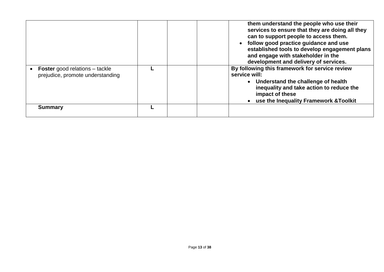|                                                                           |  | them understand the people who use their<br>services to ensure that they are doing all they<br>can to support people to access them.<br>follow good practice guidance and use<br>established tools to develop engagement plans<br>and engage with stakeholder in the<br>development and delivery of services. |
|---------------------------------------------------------------------------|--|---------------------------------------------------------------------------------------------------------------------------------------------------------------------------------------------------------------------------------------------------------------------------------------------------------------|
| <b>Foster</b> good relations – tackle<br>prejudice, promote understanding |  | By following this framework for service review<br>service will:<br>• Understand the challenge of health<br>inequality and take action to reduce the<br>impact of these<br>• use the Inequality Framework & Toolkit                                                                                            |
| <b>Summary</b>                                                            |  |                                                                                                                                                                                                                                                                                                               |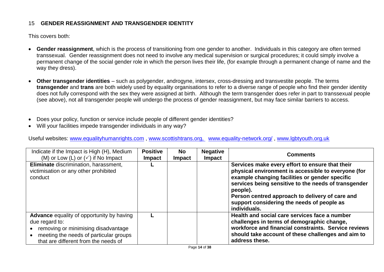#### 15 **GENDER REASSIGNMENT AND TRANSGENDER IDENTITY**

This covers both:

- **Gender reassignment**, which is the process of transitioning from one gender to another. Individuals in this category are often termed transsexual. Gender reassignment does not need to involve any medical supervision or surgical procedures; it could simply involve a permanent change of the social gender role in which the person lives their life, (for example through a permanent change of name and the way they dress).
- **Other transgender identities** such as polygender, androgyne, intersex, cross-dressing and transvestite people. The terms **transgender** and **trans** are both widely used by equality organisations to refer to a diverse range of people who find their gender identity does not fully correspond with the sex they were assigned at birth. Although the term transgender does refer in part to transsexual people (see above), not all transgender people will undergo the process of gender reassignment, but may face similar barriers to access.
- Does your policy, function or service include people of different gender identities?
- Will your facilities impede transgender individuals in any way?

Useful websites: [www.equalityhumanrights.com](http://www.equalityhumanrights.com/) , [www.scottishtrans.org,](http://www.scottishtrans.org/) [www.equality-network.org/](http://www.equality-network.org/) , [www.lgbtyouth.org.uk](http://www.lgbtyouth.org.uk/)

| Indicate if the Impact is High (H), Medium<br>(M) or Low (L) or $(\checkmark)$ if No Impact                                                                                                 | <b>Positive</b><br><b>Impact</b> | <b>No</b><br><b>Impact</b> | <b>Negative</b><br><b>Impact</b> | <b>Comments</b>                                                                                                                                                                                                                                                                                                                               |
|---------------------------------------------------------------------------------------------------------------------------------------------------------------------------------------------|----------------------------------|----------------------------|----------------------------------|-----------------------------------------------------------------------------------------------------------------------------------------------------------------------------------------------------------------------------------------------------------------------------------------------------------------------------------------------|
| Eliminate discrimination, harassment,<br>victimisation or any other prohibited<br>conduct                                                                                                   |                                  |                            |                                  | Services make every effort to ensure that their<br>physical environment is accessible to everyone (for<br>example changing facilities or gender specific<br>services being sensitive to the needs of transgender<br>people).<br>Person centred approach to delivery of care and<br>support considering the needs of people as<br>individuals. |
| <b>Advance</b> equality of opportunity by having<br>due regard to:<br>removing or minimising disadvantage<br>meeting the needs of particular groups<br>that are different from the needs of |                                  |                            |                                  | Health and social care services face a number<br>challenges in terms of demographic change,<br>workforce and financial constraints. Service reviews<br>should take account of these challenges and aim to<br>address these.                                                                                                                   |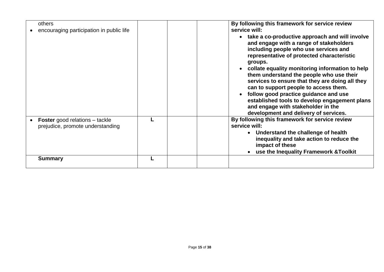| others<br>encouraging participation in public life                        | By following this framework for service review<br>service will:<br>take a co-productive approach and will involve<br>and engage with a range of stakeholders<br>including people who use services and<br>representative of protected characteristic<br>groups.                                                                                                   |
|---------------------------------------------------------------------------|------------------------------------------------------------------------------------------------------------------------------------------------------------------------------------------------------------------------------------------------------------------------------------------------------------------------------------------------------------------|
|                                                                           | collate equality monitoring information to help<br>them understand the people who use their<br>services to ensure that they are doing all they<br>can to support people to access them.<br>follow good practice guidance and use<br>established tools to develop engagement plans<br>and engage with stakeholder in the<br>development and delivery of services. |
| <b>Foster</b> good relations – tackle<br>prejudice, promote understanding | By following this framework for service review<br>service will:<br>• Understand the challenge of health<br>inequality and take action to reduce the<br>impact of these<br>use the Inequality Framework & Toolkit                                                                                                                                                 |
| <b>Summary</b>                                                            |                                                                                                                                                                                                                                                                                                                                                                  |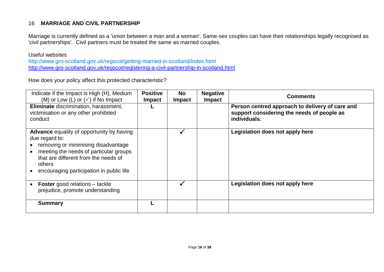#### 16 **MARRIAGE AND CIVIL PARTNERSHIP**

Marriage is currently defined as a 'union between a man and a woman'. Same-sex couples can have their relationships legally recognised as 'civil partnerships'. Civil partners must be treated the same as married couples.

#### Useful websites

http://www.gro-scotland.gov.uk/regscot/getting-married-in-scotland/index.html <http://www.gro-scotland.gov.uk/regscot/registering-a-civil-partnership-in-scotland.html>

| Indicate if the Impact is High (H), Medium<br>(M) or Low (L) or $(\checkmark)$ if No Impact                                                                                                                                                       | <b>Positive</b><br><b>Impact</b> | <b>No</b><br><b>Impact</b> | <b>Negative</b><br><b>Impact</b> | <b>Comments</b>                                                                                               |
|---------------------------------------------------------------------------------------------------------------------------------------------------------------------------------------------------------------------------------------------------|----------------------------------|----------------------------|----------------------------------|---------------------------------------------------------------------------------------------------------------|
| Eliminate discrimination, harassment,<br>victimisation or any other prohibited<br>conduct                                                                                                                                                         |                                  |                            |                                  | Person centred approach to delivery of care and<br>support considering the needs of people as<br>individuals. |
| <b>Advance</b> equality of opportunity by having<br>due regard to:<br>removing or minimising disadvantage<br>meeting the needs of particular groups<br>that are different from the needs of<br>others<br>encouraging participation in public life |                                  |                            |                                  | Legislation does not apply here                                                                               |
| <b>Foster</b> good relations – tackle<br>prejudice, promote understanding                                                                                                                                                                         |                                  |                            |                                  | Legislation does not apply here                                                                               |
| <b>Summary</b>                                                                                                                                                                                                                                    |                                  |                            |                                  |                                                                                                               |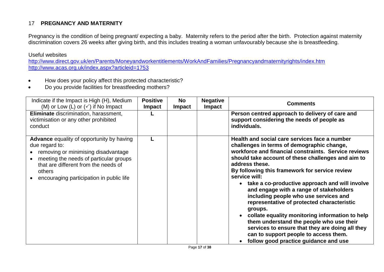#### 17 **PREGNANCY AND MATERNITY**

Pregnancy is the condition of being pregnant/ expecting a baby. Maternity refers to the period after the birth. Protection against maternity discrimination covers 26 weeks after giving birth, and this includes treating a woman unfavourably because she is breastfeeding.

#### Useful websites

<http://www.direct.gov.uk/en/Parents/Moneyandworkentitlements/WorkAndFamilies/Pregnancyandmaternityrights/index.htm> <http://www.acas.org.uk/index.aspx?articleid=1753>

- How does your policy affect this protected characteristic?
- Do you provide facilities for breastfeeding mothers?

| Indicate if the Impact is High (H), Medium<br>(M) or Low (L) or $(\checkmark)$ if No Impact                                                                                                                                                       | <b>Positive</b><br><b>Impact</b> | <b>No</b><br><b>Impact</b> | <b>Negative</b><br><b>Impact</b> | <b>Comments</b>                                                                                                                                                                                                                                                                                                                                                                                                                                                                                                                                                                                                                                                                                                                                |
|---------------------------------------------------------------------------------------------------------------------------------------------------------------------------------------------------------------------------------------------------|----------------------------------|----------------------------|----------------------------------|------------------------------------------------------------------------------------------------------------------------------------------------------------------------------------------------------------------------------------------------------------------------------------------------------------------------------------------------------------------------------------------------------------------------------------------------------------------------------------------------------------------------------------------------------------------------------------------------------------------------------------------------------------------------------------------------------------------------------------------------|
| Eliminate discrimination, harassment,<br>victimisation or any other prohibited<br>conduct                                                                                                                                                         |                                  |                            |                                  | Person centred approach to delivery of care and<br>support considering the needs of people as<br>individuals.                                                                                                                                                                                                                                                                                                                                                                                                                                                                                                                                                                                                                                  |
| <b>Advance</b> equality of opportunity by having<br>due regard to:<br>removing or minimising disadvantage<br>meeting the needs of particular groups<br>that are different from the needs of<br>others<br>encouraging participation in public life |                                  |                            |                                  | Health and social care services face a number<br>challenges in terms of demographic change,<br>workforce and financial constraints. Service reviews<br>should take account of these challenges and aim to<br>address these.<br>By following this framework for service review<br>service will:<br>take a co-productive approach and will involve<br>$\bullet$<br>and engage with a range of stakeholders<br>including people who use services and<br>representative of protected characteristic<br>groups.<br>collate equality monitoring information to help<br>them understand the people who use their<br>services to ensure that they are doing all they<br>can to support people to access them.<br>follow good practice guidance and use |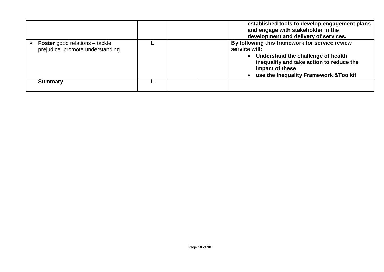|                                                                           |  | established tools to develop engagement plans<br>and engage with stakeholder in the<br>development and delivery of services.                                                                                     |
|---------------------------------------------------------------------------|--|------------------------------------------------------------------------------------------------------------------------------------------------------------------------------------------------------------------|
| <b>Foster</b> good relations – tackle<br>prejudice, promote understanding |  | By following this framework for service review<br>service will:<br>• Understand the challenge of health<br>inequality and take action to reduce the<br>impact of these<br>use the Inequality Framework & Toolkit |
| <b>Summary</b>                                                            |  |                                                                                                                                                                                                                  |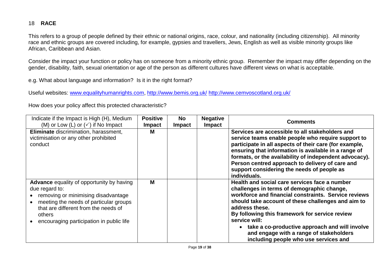#### 18 **RACE**

This refers to a group of people defined by their ethnic or national origins, race, colour, and nationality (including citizenship). All minority race and ethnic groups are covered including, for example, gypsies and travellers, Jews, English as well as visible minority groups like African, Caribbean and Asian.

Consider the impact your function or policy has on someone from a minority ethnic group. Remember the impact may differ depending on the gender, disability, faith, sexual orientation or age of the person as different cultures have different views on what is acceptable.

e.g. What about language and information? Is it in the right format?

Useful websites: [www.equalityhumanrights.com,](http://www.equalityhumanrights.com/)<http://www.bemis.org.uk/> <http://www.cemvoscotland.org.uk/>

| Indicate if the Impact is High (H), Medium<br>(M) or Low (L) or $(\checkmark)$ if No Impact                                                                                                                                                       | <b>Positive</b><br><b>Impact</b> | <b>No</b><br><b>Impact</b> | <b>Negative</b><br><b>Impact</b> | <b>Comments</b>                                                                                                                                                                                                                                                                                                                                                                                                                      |
|---------------------------------------------------------------------------------------------------------------------------------------------------------------------------------------------------------------------------------------------------|----------------------------------|----------------------------|----------------------------------|--------------------------------------------------------------------------------------------------------------------------------------------------------------------------------------------------------------------------------------------------------------------------------------------------------------------------------------------------------------------------------------------------------------------------------------|
| <b>Eliminate</b> discrimination, harassment,<br>victimisation or any other prohibited<br>conduct                                                                                                                                                  | м                                |                            |                                  | Services are accessible to all stakeholders and<br>service teams enable people who require support to<br>participate in all aspects of their care (for example,<br>ensuring that information is available in a range of<br>formats, or the availability of independent advocacy).<br>Person centred approach to delivery of care and<br>support considering the needs of people as<br>individuals.                                   |
| <b>Advance</b> equality of opportunity by having<br>due regard to:<br>removing or minimising disadvantage<br>meeting the needs of particular groups<br>that are different from the needs of<br>others<br>encouraging participation in public life | M                                |                            |                                  | Health and social care services face a number<br>challenges in terms of demographic change,<br>workforce and financial constraints. Service reviews<br>should take account of these challenges and aim to<br>address these.<br>By following this framework for service review<br>service will:<br>take a co-productive approach and will involve<br>and engage with a range of stakeholders<br>including people who use services and |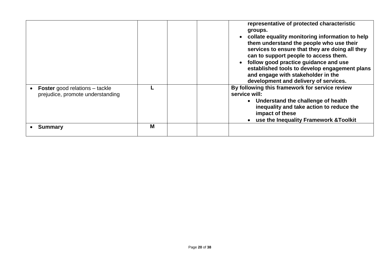| <b>Foster</b> good relations – tackle<br>prejudice, promote understanding |   | representative of protected characteristic<br>groups.<br>collate equality monitoring information to help<br>them understand the people who use their<br>services to ensure that they are doing all they<br>can to support people to access them.<br>follow good practice guidance and use<br>established tools to develop engagement plans<br>and engage with stakeholder in the<br>development and delivery of services.<br>By following this framework for service review<br>service will:<br>• Understand the challenge of health<br>inequality and take action to reduce the<br>impact of these<br>use the Inequality Framework & Toolkit |
|---------------------------------------------------------------------------|---|-----------------------------------------------------------------------------------------------------------------------------------------------------------------------------------------------------------------------------------------------------------------------------------------------------------------------------------------------------------------------------------------------------------------------------------------------------------------------------------------------------------------------------------------------------------------------------------------------------------------------------------------------|
| <b>Summary</b>                                                            | M |                                                                                                                                                                                                                                                                                                                                                                                                                                                                                                                                                                                                                                               |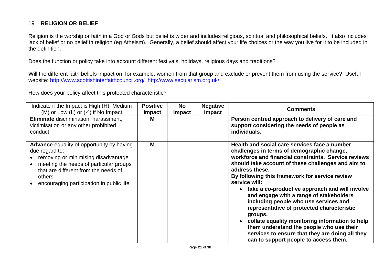#### 19 **RELIGION OR BELIEF**

Religion is the worship or faith in a God or Gods but belief is wider and includes religious, spiritual and philosophical beliefs. It also includes lack of belief or no belief in religion (eg Atheism). Generally, a belief should affect your life choices or the way you live for it to be included in the definition.

Does the function or policy take into account different festivals, holidays, religious days and traditions?

Will the different faith beliefs impact on, for example, women from that group and exclude or prevent them from using the service? Useful website:<http://www.scottishinterfaithcouncil.org/> <http://www.secularism.org.uk/>

| Indicate if the Impact is High (H), Medium<br>(M) or Low (L) or $(\checkmark)$ if No Impact<br>Eliminate discrimination, harassment,<br>victimisation or any other prohibited                                                                     | <b>Positive</b><br><b>Impact</b><br>M | <b>No</b><br><b>Impact</b> | <b>Negative</b><br><b>Impact</b> | <b>Comments</b><br>Person centred approach to delivery of care and<br>support considering the needs of people as                                                                                                                                                                                                                                                                                                                                                                                                                                                                                                                                                                         |
|---------------------------------------------------------------------------------------------------------------------------------------------------------------------------------------------------------------------------------------------------|---------------------------------------|----------------------------|----------------------------------|------------------------------------------------------------------------------------------------------------------------------------------------------------------------------------------------------------------------------------------------------------------------------------------------------------------------------------------------------------------------------------------------------------------------------------------------------------------------------------------------------------------------------------------------------------------------------------------------------------------------------------------------------------------------------------------|
| conduct                                                                                                                                                                                                                                           |                                       |                            |                                  | individuals.                                                                                                                                                                                                                                                                                                                                                                                                                                                                                                                                                                                                                                                                             |
| <b>Advance</b> equality of opportunity by having<br>due regard to:<br>removing or minimising disadvantage<br>meeting the needs of particular groups<br>that are different from the needs of<br>others<br>encouraging participation in public life | M                                     |                            |                                  | Health and social care services face a number<br>challenges in terms of demographic change,<br>workforce and financial constraints. Service reviews<br>should take account of these challenges and aim to<br>address these.<br>By following this framework for service review<br>service will:<br>take a co-productive approach and will involve<br>and engage with a range of stakeholders<br>including people who use services and<br>representative of protected characteristic<br>groups.<br>collate equality monitoring information to help<br>them understand the people who use their<br>services to ensure that they are doing all they<br>can to support people to access them. |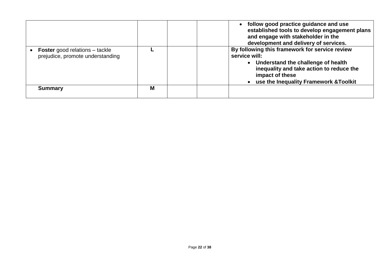|                                                                           |   | • follow good practice guidance and use<br>established tools to develop engagement plans<br>and engage with stakeholder in the<br>development and delivery of services.                                          |
|---------------------------------------------------------------------------|---|------------------------------------------------------------------------------------------------------------------------------------------------------------------------------------------------------------------|
| <b>Foster</b> good relations – tackle<br>prejudice, promote understanding |   | By following this framework for service review<br>service will:<br>• Understand the challenge of health<br>inequality and take action to reduce the<br>impact of these<br>use the Inequality Framework & Toolkit |
| <b>Summary</b>                                                            | M |                                                                                                                                                                                                                  |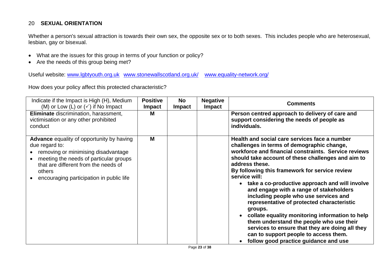#### 20 **SEXUAL ORIENTATION**

Whether a person's sexual attraction is towards their own sex, the opposite sex or to both sexes. This includes people who are heterosexual, lesbian, gay or bisexual.

- What are the issues for this group in terms of your function or policy?
- Are the needs of this group being met?

Useful website: [www.lgbtyouth.org.uk](http://www.lgbtyouth.org.uk/) [www.stonewallscotland.org.uk/](http://www.stonewallscotland.org.uk/) [www.equality-network.org/](http://www.equality-network.org/)

| Indicate if the Impact is High (H), Medium<br>(M) or Low (L) or $(\checkmark)$ if No Impact                                                                                                                                                       | <b>Positive</b><br><b>Impact</b> | <b>No</b><br><b>Impact</b> | <b>Negative</b><br><b>Impact</b> | <b>Comments</b>                                                                                                                                                                                                                                                                                                                                                                                                                                                                                                                                                                                                                                                                                                                     |
|---------------------------------------------------------------------------------------------------------------------------------------------------------------------------------------------------------------------------------------------------|----------------------------------|----------------------------|----------------------------------|-------------------------------------------------------------------------------------------------------------------------------------------------------------------------------------------------------------------------------------------------------------------------------------------------------------------------------------------------------------------------------------------------------------------------------------------------------------------------------------------------------------------------------------------------------------------------------------------------------------------------------------------------------------------------------------------------------------------------------------|
| Eliminate discrimination, harassment,<br>victimisation or any other prohibited<br>conduct                                                                                                                                                         | М                                |                            |                                  | Person centred approach to delivery of care and<br>support considering the needs of people as<br>individuals.                                                                                                                                                                                                                                                                                                                                                                                                                                                                                                                                                                                                                       |
| <b>Advance</b> equality of opportunity by having<br>due regard to:<br>removing or minimising disadvantage<br>meeting the needs of particular groups<br>that are different from the needs of<br>others<br>encouraging participation in public life | M                                |                            |                                  | Health and social care services face a number<br>challenges in terms of demographic change,<br>workforce and financial constraints. Service reviews<br>should take account of these challenges and aim to<br>address these.<br>By following this framework for service review<br>service will:<br>• take a co-productive approach and will involve<br>and engage with a range of stakeholders<br>including people who use services and<br>representative of protected characteristic<br>groups.<br>collate equality monitoring information to help<br>them understand the people who use their<br>services to ensure that they are doing all they<br>can to support people to access them.<br>follow good practice guidance and use |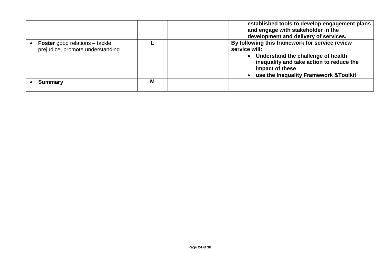|                                                                           |   | established tools to develop engagement plans<br>and engage with stakeholder in the<br>development and delivery of services.                                                                                     |
|---------------------------------------------------------------------------|---|------------------------------------------------------------------------------------------------------------------------------------------------------------------------------------------------------------------|
| <b>Foster</b> good relations – tackle<br>prejudice, promote understanding |   | By following this framework for service review<br>service will:<br>• Understand the challenge of health<br>inequality and take action to reduce the<br>impact of these<br>use the Inequality Framework & Toolkit |
| <b>Summary</b>                                                            | M |                                                                                                                                                                                                                  |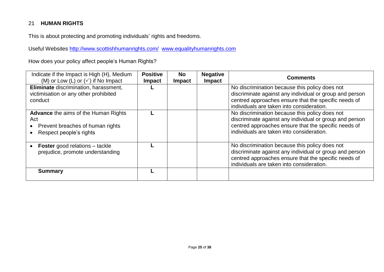#### 21 **HUMAN RIGHTS**

This is about protecting and promoting individuals' rights and freedoms.

Useful Websites<http://www.scottishhumanrights.com/>[www.equalityhumanrights.com](http://www.equalityhumanrights.com/) 

How does your policy affect people's Human Rights?

| Indicate if the Impact is High (H), Medium<br>(M) or Low (L) or $(\checkmark)$ if No Impact                       | <b>Positive</b><br><b>Impact</b> | <b>No</b><br><b>Impact</b> | <b>Negative</b><br><b>Impact</b> | <b>Comments</b>                                                                                                                                                                                                |
|-------------------------------------------------------------------------------------------------------------------|----------------------------------|----------------------------|----------------------------------|----------------------------------------------------------------------------------------------------------------------------------------------------------------------------------------------------------------|
| Eliminate discrimination, harassment,<br>victimisation or any other prohibited<br>conduct                         |                                  |                            |                                  | No discrimination because this policy does not<br>discriminate against any individual or group and person<br>centred approaches ensure that the specific needs of<br>individuals are taken into consideration. |
| <b>Advance</b> the aims of the Human Rights<br>Act<br>Prevent breaches of human rights<br>Respect people's rights |                                  |                            |                                  | No discrimination because this policy does not<br>discriminate against any individual or group and person<br>centred approaches ensure that the specific needs of<br>individuals are taken into consideration. |
| <b>Foster</b> good relations – tackle<br>prejudice, promote understanding                                         |                                  |                            |                                  | No discrimination because this policy does not<br>discriminate against any individual or group and person<br>centred approaches ensure that the specific needs of<br>individuals are taken into consideration. |
| <b>Summary</b>                                                                                                    |                                  |                            |                                  |                                                                                                                                                                                                                |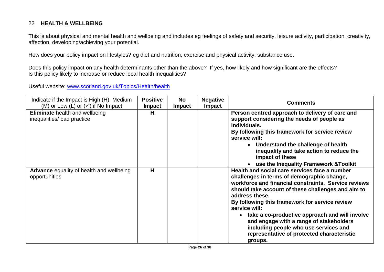#### 22 **HEALTH & WELLBEING**

This is about physical and mental health and wellbeing and includes eg feelings of safety and security, leisure activity, participation, creativity, affection, developing/achieving your potential.

How does your policy impact on lifestyles? eg diet and nutrition, exercise and physical activity, substance use.

Does this policy impact on any health determinants other than the above? If yes, how likely and how significant are the effects? Is this policy likely to increase or reduce local health inequalities?

Useful website: [www.scotland.gov.uk/Topics/Health/health](http://www.scotland.gov.uk/Topics/Health/health)

| Indicate if the Impact is High (H), Medium<br>(M) or Low (L) or $(\checkmark)$ if No Impact | <b>Positive</b><br><b>Impact</b> | <b>No</b><br><b>Impact</b> | <b>Negative</b><br><b>Impact</b> | <b>Comments</b>                                                                                                                                                                                                                                                                                                                                                                                                                                                                               |
|---------------------------------------------------------------------------------------------|----------------------------------|----------------------------|----------------------------------|-----------------------------------------------------------------------------------------------------------------------------------------------------------------------------------------------------------------------------------------------------------------------------------------------------------------------------------------------------------------------------------------------------------------------------------------------------------------------------------------------|
| <b>Eliminate</b> health and wellbeing<br>inequalities/ bad practice                         | н                                |                            |                                  | Person centred approach to delivery of care and<br>support considering the needs of people as<br>individuals.<br>By following this framework for service review<br>service will:<br>• Understand the challenge of health<br>inequality and take action to reduce the<br>impact of these<br>• use the Inequality Framework & Toolkit                                                                                                                                                           |
| <b>Advance</b> equality of health and wellbeing<br>opportunities                            | н                                |                            |                                  | Health and social care services face a number<br>challenges in terms of demographic change,<br>workforce and financial constraints. Service reviews<br>should take account of these challenges and aim to<br>address these.<br>By following this framework for service review<br>service will:<br>take a co-productive approach and will involve<br>and engage with a range of stakeholders<br>including people who use services and<br>representative of protected characteristic<br>groups. |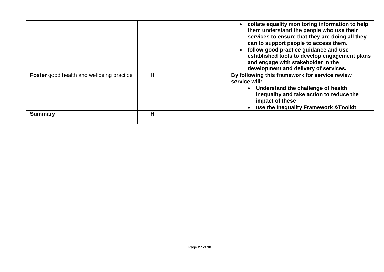|                                                  |   | • collate equality monitoring information to help<br>them understand the people who use their<br>services to ensure that they are doing all they<br>can to support people to access them.<br>follow good practice guidance and use<br>established tools to develop engagement plans<br>and engage with stakeholder in the<br>development and delivery of services. |
|--------------------------------------------------|---|--------------------------------------------------------------------------------------------------------------------------------------------------------------------------------------------------------------------------------------------------------------------------------------------------------------------------------------------------------------------|
| <b>Foster</b> good health and wellbeing practice | H | By following this framework for service review<br>service will:<br>• Understand the challenge of health<br>inequality and take action to reduce the<br>impact of these<br>use the Inequality Framework & Toolkit                                                                                                                                                   |
| <b>Summary</b>                                   | н |                                                                                                                                                                                                                                                                                                                                                                    |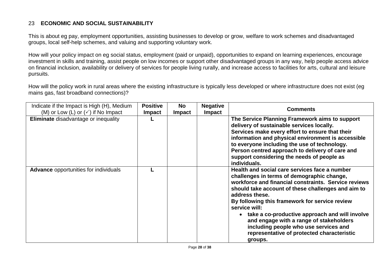#### 23 **ECONOMIC AND SOCIAL SUSTAINABILITY**

This is about eg pay, employment opportunities, assisting businesses to develop or grow, welfare to work schemes and disadvantaged groups, local self-help schemes, and valuing and supporting voluntary work.

How will your policy impact on eg social status, employment (paid or unpaid), opportunities to expand on learning experiences, encourage investment in skills and training, assist people on low incomes or support other disadvantaged groups in any way, help people access advice on financial inclusion, availability or delivery of services for people living rurally, and increase access to facilities for arts, cultural and leisure pursuits.

How will the policy work in rural areas where the existing infrastructure is typically less developed or where infrastructure does not exist (eg mains gas, fast broadband connections)?

| Indicate if the Impact is High (H), Medium    | <b>Positive</b> | <b>No</b>     | <b>Negative</b> | <b>Comments</b>                                                                                                                                                                                                                                                                                                                                                                                                                                                                               |  |  |  |
|-----------------------------------------------|-----------------|---------------|-----------------|-----------------------------------------------------------------------------------------------------------------------------------------------------------------------------------------------------------------------------------------------------------------------------------------------------------------------------------------------------------------------------------------------------------------------------------------------------------------------------------------------|--|--|--|
| (M) or Low (L) or $(\checkmark)$ if No Impact | <b>Impact</b>   | <b>Impact</b> | <b>Impact</b>   |                                                                                                                                                                                                                                                                                                                                                                                                                                                                                               |  |  |  |
| <b>Eliminate</b> disadvantage or inequality   |                 |               |                 | The Service Planning Framework aims to support<br>delivery of sustainable services locally.<br>Services make every effort to ensure that their<br>information and physical environment is accessible<br>to everyone including the use of technology.<br>Person centred approach to delivery of care and<br>support considering the needs of people as<br>individuals.                                                                                                                         |  |  |  |
| <b>Advance</b> opportunities for individuals  |                 |               |                 | Health and social care services face a number<br>challenges in terms of demographic change,<br>workforce and financial constraints. Service reviews<br>should take account of these challenges and aim to<br>address these.<br>By following this framework for service review<br>service will:<br>take a co-productive approach and will involve<br>and engage with a range of stakeholders<br>including people who use services and<br>representative of protected characteristic<br>groups. |  |  |  |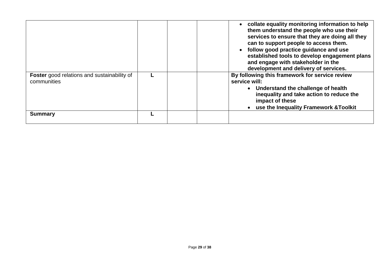|                                                                   |  | • collate equality monitoring information to help<br>them understand the people who use their<br>services to ensure that they are doing all they<br>can to support people to access them.<br>follow good practice guidance and use<br>established tools to develop engagement plans<br>and engage with stakeholder in the<br>development and delivery of services. |
|-------------------------------------------------------------------|--|--------------------------------------------------------------------------------------------------------------------------------------------------------------------------------------------------------------------------------------------------------------------------------------------------------------------------------------------------------------------|
| <b>Foster</b> good relations and sustainability of<br>communities |  | By following this framework for service review<br>service will:<br>• Understand the challenge of health<br>inequality and take action to reduce the<br>impact of these                                                                                                                                                                                             |
| <b>Summary</b>                                                    |  | use the Inequality Framework & Toolkit                                                                                                                                                                                                                                                                                                                             |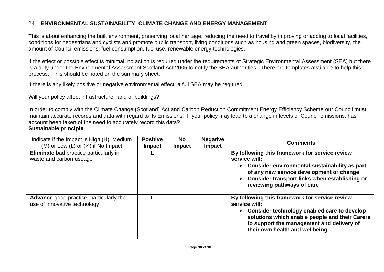#### 24 **ENVIRONMENTAL SUSTAINABILITY, CLIMATE CHANGE AND ENERGY MANAGEMENT**

This is about enhancing the built environment, preserving local heritage, reducing the need to travel by improving or adding to local facilities, conditions for pedestrians and cyclists and promote public transport, living conditions such as housing and green spaces, biodiversity, the amount of Council emissions, fuel consumption, fuel use, renewable energy technologies,

If the effect or possible effect is minimal, no action is required under the requirements of Strategic Environmental Assessment (SEA) but there is a duty under the Environmental Assessment Scotland Act 2005 to notify the SEA authorities. There are templates available to help this process. This should be noted on the summary sheet.

If there is any likely positive or negative environmental effect, a full SEA may be required.

Will your policy affect infrastructure, land or buildings?

In order to comply with the Climate Change (Scotland) Act and [Carbon Reduction Commitment Energy Efficiency Scheme](http://connect.dgcouncil.net/Documents%20and%20Settings/april.lenza/Sustainable%20Development/Impact%20Assessment/CRC%20Energy%20Efficiency%20Scheme%20-%20Department%20of%20Energy%20and%20Climate%20Change.mht) our Council must maintain accurate records and data with regard to its Emissions. If your policy may lead to a change in levels of Council emissions, has account been taken of the need to accurately record this data?

#### **Sustainable principle**

| Indicate if the Impact is High (H), Medium<br>(M) or Low (L) or $(\checkmark)$ if No Impact | <b>Positive</b><br><b>Impact</b> | <b>No</b><br><b>Impact</b> | <b>Negative</b><br><b>Impact</b> | <b>Comments</b>                                                                                                                                                                                                                                 |
|---------------------------------------------------------------------------------------------|----------------------------------|----------------------------|----------------------------------|-------------------------------------------------------------------------------------------------------------------------------------------------------------------------------------------------------------------------------------------------|
| Eliminate bad practice particularly in<br>waste and carbon useage                           |                                  |                            |                                  | By following this framework for service review<br>service will:<br>Consider environmental sustainability as part<br>of any new service development or change<br>Consider transport links when establishing or<br>reviewing pathways of care     |
| Advance good practice, particularly the<br>use of innovative technology                     |                                  |                            |                                  | By following this framework for service review<br>service will:<br>Consider technology enabled care to develop<br>solutions which enable people and their Carers<br>to support the management and delivery of<br>their own health and wellbeing |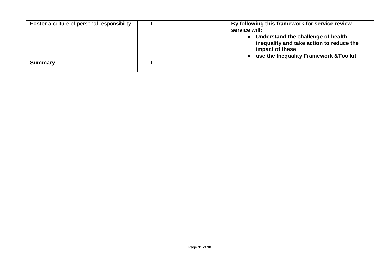| <b>Foster</b> a culture of personal responsibility | By following this framework for service review<br>service will:                                                                             |
|----------------------------------------------------|---------------------------------------------------------------------------------------------------------------------------------------------|
|                                                    | Understand the challenge of health<br>inequality and take action to reduce the<br>impact of these<br>use the Inequality Framework & Toolkit |
| <b>Summary</b>                                     |                                                                                                                                             |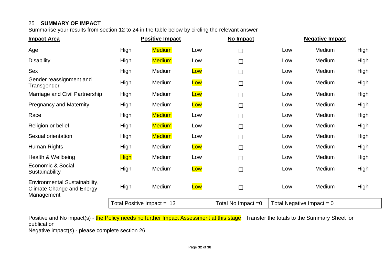#### 25 **SUMMARY OF IMPACT**

Summarise your results from section 12 to 24 in the table below by circling the relevant answer

| <b>Impact Area</b>                                                              | <b>Positive Impact</b> |                              | No Impact | <b>Negative Impact</b> |                             |        |      |
|---------------------------------------------------------------------------------|------------------------|------------------------------|-----------|------------------------|-----------------------------|--------|------|
| Age                                                                             | High                   | <b>Medium</b>                | Low       | $\Box$                 | Low                         | Medium | High |
| <b>Disability</b>                                                               | High                   | <b>Medium</b>                | Low       | $\Box$                 | Low                         | Medium | High |
| Sex                                                                             | High                   | Medium                       | Low       | $\Box$                 | Low                         | Medium | High |
| Gender reassignment and<br>Transgender                                          | High                   | Medium                       | Low       | $\Box$                 | Low                         | Medium | High |
| Marriage and Civil Partnership                                                  | High                   | Medium                       | Low       | $\Box$                 | Low                         | Medium | High |
| <b>Pregnancy and Maternity</b>                                                  | High                   | Medium                       | Low       | $\Box$                 | Low                         | Medium | High |
| Race                                                                            | High                   | <b>Medium</b>                | Low       | $\Box$                 | Low                         | Medium | High |
| Religion or belief                                                              | High                   | <b>Medium</b>                | Low       | $\Box$                 | Low                         | Medium | High |
| Sexual orientation                                                              | High                   | <b>Medium</b>                | Low       | $\Box$                 | Low                         | Medium | High |
| Human Rights                                                                    | High                   | Medium                       | Low       | $\Box$                 | Low                         | Medium | High |
| Health & Wellbeing                                                              | <b>High</b>            | Medium                       | Low       | $\Box$                 | Low                         | Medium | High |
| Economic & Social<br>Sustainability                                             | High                   | Medium                       | Low       | $\Box$                 | Low                         | Medium | High |
| Environmental Sustainability,<br><b>Climate Change and Energy</b><br>Management | High                   | Medium                       | Low       | $\Box$                 | Low                         | Medium | High |
|                                                                                 |                        | Total Positive Impact = $13$ |           | Total No Impact $=0$   | Total Negative Impact = $0$ |        |      |

Positive and No impact(s) - the Policy needs no further Impact Assessment at this stage. Transfer the totals to the Summary Sheet for publication

Negative impact(s) - please complete section 26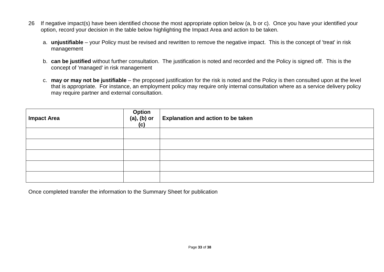- 26 If negative impact(s) have been identified choose the most appropriate option below (a, b or c). Once you have your identified your option, record your decision in the table below highlighting the Impact Area and action to be taken.
	- a. **unjustifiable** your Policy must be revised and rewritten to remove the negative impact. This is the concept of 'treat' in risk management
	- b. **can be justified** without further consultation. The justification is noted and recorded and the Policy is signed off. This is the concept of 'managed' in risk management
	- c. **may or may not be justifiable** the proposed justification for the risk is noted and the Policy is then consulted upon at the level that is appropriate. For instance, an employment policy may require only internal consultation where as a service delivery policy may require partner and external consultation.

| <b>Impact Area</b> | Option<br>(a), (b) or<br>(c) | <b>Explanation and action to be taken</b> |
|--------------------|------------------------------|-------------------------------------------|
|                    |                              |                                           |
|                    |                              |                                           |
|                    |                              |                                           |
|                    |                              |                                           |
|                    |                              |                                           |

Once completed transfer the information to the Summary Sheet for publication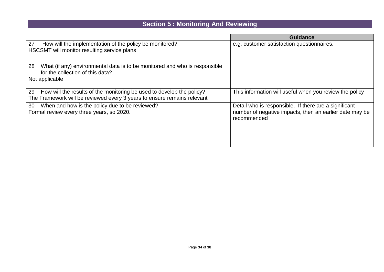## **Section 5 : Monitoring And Reviewing**

|                                                                                                                                                        | <b>Guidance</b>                                                                                                                 |
|--------------------------------------------------------------------------------------------------------------------------------------------------------|---------------------------------------------------------------------------------------------------------------------------------|
| 27<br>How will the implementation of the policy be monitored?<br>HSCSMT will monitor resulting service plans                                           | e.g. customer satisfaction questionnaires.                                                                                      |
| 28<br>What (if any) environmental data is to be monitored and who is responsible<br>for the collection of this data?<br>Not applicable                 |                                                                                                                                 |
| 29<br>How will the results of the monitoring be used to develop the policy?<br>The Framework will be reviewed every 3 years to ensure remains relevant | This information will useful when you review the policy                                                                         |
| When and how is the policy due to be reviewed?<br>30<br>Formal review every three years, so 2020.                                                      | Detail who is responsible. If there are a significant<br>number of negative impacts, then an earlier date may be<br>recommended |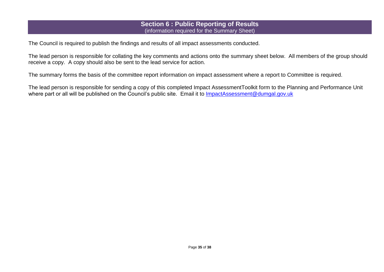#### **Section 6 : Public Reporting of Results**  (information required for the Summary Sheet)

The Council is required to publish the findings and results of all impact assessments conducted.

The lead person is responsible for collating the key comments and actions onto the summary sheet below. All members of the group should receive a copy. A copy should also be sent to the lead service for action.

The summary forms the basis of the committee report information on impact assessment where a report to Committee is required.

The lead person is responsible for sending a copy of this completed Impact AssessmentToolkit form to the Planning and Performance Unit where part or all will be published on the Council's public site. Email it to [ImpactAssessment@dumgal.gov.uk](mailto:ImpactAssessment@dumgal.gov.uk)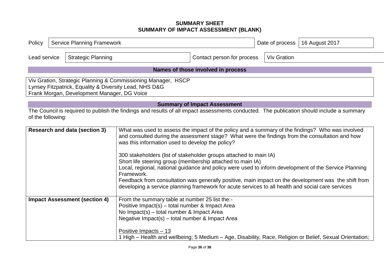#### **SUMMARY SHEET SUMMARY OF IMPACT ASSESSMENT (BLANK)**

| Policy            | <b>Service Planning Framework</b>                                       |                                             |                                                                                                                                                                                                                                                                                                                                                                                                                                                                                                                                                                                                                                                                                                                                |                                     | 16 August 2017<br>Date of process |                                                                                                        |  |  |  |
|-------------------|-------------------------------------------------------------------------|---------------------------------------------|--------------------------------------------------------------------------------------------------------------------------------------------------------------------------------------------------------------------------------------------------------------------------------------------------------------------------------------------------------------------------------------------------------------------------------------------------------------------------------------------------------------------------------------------------------------------------------------------------------------------------------------------------------------------------------------------------------------------------------|-------------------------------------|-----------------------------------|--------------------------------------------------------------------------------------------------------|--|--|--|
|                   | <b>Strategic Planning</b><br>Contact person for process<br>Lead service |                                             |                                                                                                                                                                                                                                                                                                                                                                                                                                                                                                                                                                                                                                                                                                                                |                                     | <b>Viv Gration</b>                |                                                                                                        |  |  |  |
|                   |                                                                         |                                             |                                                                                                                                                                                                                                                                                                                                                                                                                                                                                                                                                                                                                                                                                                                                | Names of those involved in process  |                                   |                                                                                                        |  |  |  |
|                   |                                                                         | Frank Morgan, Development Manager, DG Voice | Viv Gration, Strategic Planning & Commissioning Manager, HSCP<br>Lynsey Fitzpatrick, Equality & Diversity Lead, NHS D&G                                                                                                                                                                                                                                                                                                                                                                                                                                                                                                                                                                                                        |                                     |                                   |                                                                                                        |  |  |  |
|                   |                                                                         |                                             |                                                                                                                                                                                                                                                                                                                                                                                                                                                                                                                                                                                                                                                                                                                                | <b>Summary of Impact Assessment</b> |                                   |                                                                                                        |  |  |  |
| of the following: |                                                                         |                                             | The Council is required to publish the findings and results of all impact assessments conducted. The publication should include a summary                                                                                                                                                                                                                                                                                                                                                                                                                                                                                                                                                                                      |                                     |                                   |                                                                                                        |  |  |  |
|                   |                                                                         | <b>Research and data (section 3)</b>        | What was used to assess the impact of the policy and a summary of the findings? Who was involved<br>and consulted during the assessment stage? What were the findings from the consultation and how<br>was this information used to develop the policy?<br>300 stakeholders (list of stakeholder groups attached to main IA)<br>Short life steering group (membership attached to main IA)<br>Local, regional, national guidance and policy were used to inform development of the Service Planning<br>Framework.<br>Feedback from consultation was generally positive, main impact on the development was the shift from<br>developing a service planning framework for acute services to all health and social care services |                                     |                                   |                                                                                                        |  |  |  |
|                   |                                                                         | <b>Impact Assessment (section 4)</b>        | From the summary table at number 25 list the:-<br>Positive Impact(s) - total number & Impact Area<br>No Impact(s) - total number & Impact Area<br>Negative Impact(s) - total number & Impact Area<br>Positive Impacts - 13                                                                                                                                                                                                                                                                                                                                                                                                                                                                                                     |                                     |                                   | High – Health and wellbeing; 5 Medium – Age, Disability, Race, Religion or Belief, Sexual Orientation; |  |  |  |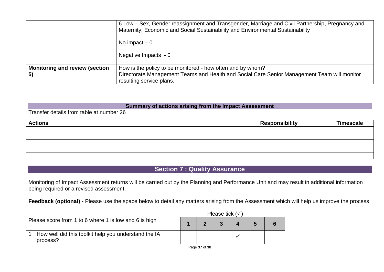|                                       | 6 Low – Sex, Gender reassignment and Transgender, Marriage and Civil Partnership, Pregnancy and<br>Maternity, Economic and Social Sustainability and Environmental Sustainability<br>No impact $-0$ |
|---------------------------------------|-----------------------------------------------------------------------------------------------------------------------------------------------------------------------------------------------------|
|                                       | Negative Impacts - 0                                                                                                                                                                                |
| <b>Monitoring and review (section</b> | How is the policy to be monitored - how often and by whom?                                                                                                                                          |
| 5)                                    | Directorate Management Teams and Health and Social Care Senior Management Team will monitor<br>resulting service plans.                                                                             |

#### **Summary of actions arising from the Impact Assessment**

Transfer details from table at number 26

| <b>Actions</b> | <b>Responsibility</b> | <b>Timescale</b> |
|----------------|-----------------------|------------------|
|                |                       |                  |
|                |                       |                  |
|                |                       |                  |
|                |                       |                  |
|                |                       |                  |

#### **Section 7 : Quality Assurance**

Monitoring of Impact Assessment returns will be carried out by the Planning and Performance Unit and may result in additional information being required or a revised assessment.

**Feedback (optional) -** Please use the space below to detail any matters arising from the Assessment which will help us improve the process

|                                                                  | Please tick $(\checkmark)$ |  |  |  |  |  |  |  |
|------------------------------------------------------------------|----------------------------|--|--|--|--|--|--|--|
| Please score from 1 to 6 where 1 is low and 6 is high            |                            |  |  |  |  |  |  |  |
| How well did this toolkit help you understand the IA<br>process? |                            |  |  |  |  |  |  |  |